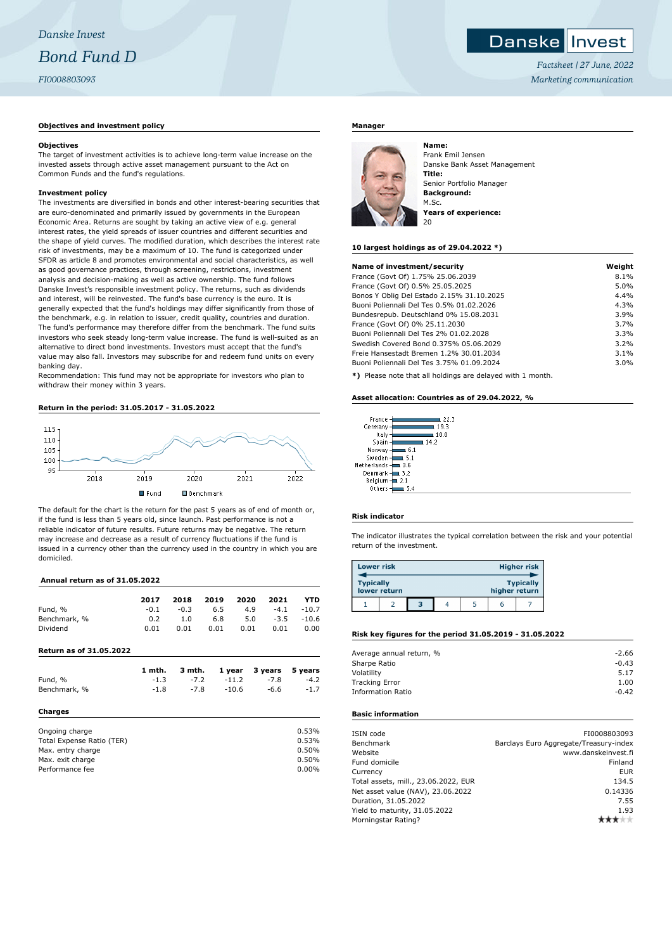# **Danskellnyest**

*Factsheet | 27 June, 2022 Marketing communication*

# **Objectives and investment policy**

## **Objectives**

The target of investment activities is to achieve long-term value increase on the invested assets through active asset management pursuant to the Act on Common Funds and the fund's regulations.

# **Investment policy**

The investments are diversified in bonds and other interest-bearing securities that are euro-denominated and primarily issued by governments in the European Economic Area. Returns are sought by taking an active view of e.g. general interest rates, the yield spreads of issuer countries and different securities and the shape of yield curves. The modified duration, which describes the interest rate risk of investments, may be a maximum of 10. The fund is categorized under SFDR as article 8 and promotes environmental and social characteristics, as well as good governance practices, through screening, restrictions, investment analysis and decision-making as well as active ownership. The fund follows Danske Invest's responsible investment policy. The returns, such as dividends and interest, will be reinvested. The fund's base currency is the euro. It is generally expected that the fund's holdings may differ significantly from those of the benchmark, e.g. in relation to issuer, credit quality, countries and duration. The fund's performance may therefore differ from the benchmark. The fund suits investors who seek steady long-term value increase. The fund is well-suited as an alternative to direct bond investments. Investors must accept that the fund's value may also fall. Investors may subscribe for and redeem fund units on every banking day.

Recommendation: This fund may not be appropriate for investors who plan to withdraw their money within 3 years.

# **Return in the period: 31.05.2017 - 31.05.2022**



The default for the chart is the return for the past 5 years as of end of month or, if the fund is less than 5 years old, since launch. Past performance is not a reliable indicator of future results. Future returns may be negative. The return may increase and decrease as a result of currency fluctuations if the fund is issued in a currency other than the currency used in the country in which you are domiciled.

## **Annual return as of 31.05.2022**

|                                | 2017   | 2018   | 2019 | 2020    | 2021    | <b>YTD</b> |
|--------------------------------|--------|--------|------|---------|---------|------------|
| Fund, %                        | $-0.1$ | $-0.3$ | 6.5  | 4.9     | $-4.1$  | $-10.7$    |
| Benchmark, %                   | 0.2    | 1.0    | 6.8  | 5.0     | $-3.5$  | $-10.6$    |
| Dividend                       | 0.01   | 0.01   | 0.01 | 0.01    | 0.01    | 0.00       |
| <b>Return as of 31.05.2022</b> |        |        |      |         |         |            |
|                                | 1 mth. | 3 mth. |      | 1 year  | 3 years | 5 years    |
| Fund, %                        | $-1.3$ | $-7.2$ |      | $-11.2$ | $-7.8$  | $-4.2$     |
| Benchmark, %                   | $-1.8$ | $-7.8$ |      | $-10.6$ | -6.6    | $-1.7$     |
| Charges                        |        |        |      |         |         |            |
| Ongoing charge                 |        |        |      |         |         | 0.53%      |
| Total Expense Ratio (TER)      |        |        |      |         |         | 0.53%      |
| Max. entry charge              |        |        |      |         |         | 0.50%      |
| Max. exit charge               |        |        |      |         |         | 0.50%      |
| Performance fee                |        |        |      |         |         | 0.00%      |

# **Manager**



Frank Emil Jensen Danske Bank Asset Management **Title:** Senior Portfolio Manager **Background:** M.Sc. **Years of experience:**

#### **10 largest holdings as of 29.04.2022 \*)**

| Name of investment/security               | Weight |
|-------------------------------------------|--------|
| France (Govt Of) 1.75% 25.06.2039         | 8.1%   |
| France (Govt Of) 0.5% 25.05.2025          | 5.0%   |
| Bonos Y Oblig Del Estado 2.15% 31.10.2025 | 4.4%   |
| Buoni Poliennali Del Tes 0.5% 01.02.2026  | 4.3%   |
| Bundesrepub. Deutschland 0% 15.08.2031    | 3.9%   |
| France (Govt Of) 0% 25.11.2030            | 3.7%   |
| Buoni Poliennali Del Tes 2% 01.02.2028    | 3.3%   |
| Swedish Covered Bond 0.375% 05.06.2029    | 3.2%   |
| Freie Hansestadt Bremen 1.2% 30.01.2034   | 3.1%   |
| Buoni Poliennali Del Tes 3.75% 01.09.2024 | 3.0%   |
|                                           |        |

**\*)** Please note that all holdings are delayed with 1 month.

#### **Asset allocation: Countries as of 29.04.2022, %**

| France      | -22.3 |
|-------------|-------|
| Germany     | 193   |
| Italy       | 18.8  |
| Spain       | 14.2  |
| Norway      | 6.1   |
| Sweden      | 5.1   |
| Vetherlands | 3.6   |
| Denmark     | 3.2   |
| Belgium     | 2.1   |
| Others      | 5.4   |
|             |       |

#### **Risk indicator**

Ï

The indicator illustrates the typical correlation between the risk and your potential return of the investment.

| <b>Lower risk</b> |              |   |  |               | <b>Higher risk</b> |
|-------------------|--------------|---|--|---------------|--------------------|
| <b>Typically</b>  | lower return |   |  | higher return | <b>Typically</b>   |
|                   |              | в |  |               |                    |

#### **Risk key figures for the period 31.05.2019 - 31.05.2022**

| Average annual return, % | $-2.66$ |
|--------------------------|---------|
| Sharpe Ratio             | $-0.43$ |
| Volatility               | 5.17    |
| <b>Tracking Error</b>    | 1.00    |
| <b>Information Ratio</b> | $-0.42$ |
|                          |         |

#### **Basic information**

| ISIN code                            | FI0008803093                           |
|--------------------------------------|----------------------------------------|
| Benchmark                            | Barclays Euro Aggregate/Treasury-index |
| Website                              | www.danskeinvest.fi                    |
| Fund domicile                        | Finland                                |
| Currency                             | <b>EUR</b>                             |
| Total assets, mill., 23.06.2022, EUR | 134.5                                  |
| Net asset value (NAV), 23.06.2022    | 0.14336                                |
| Duration, 31.05.2022                 | 7.55                                   |
| Yield to maturity, 31.05.2022        | 1.93                                   |
| Morningstar Rating?                  |                                        |